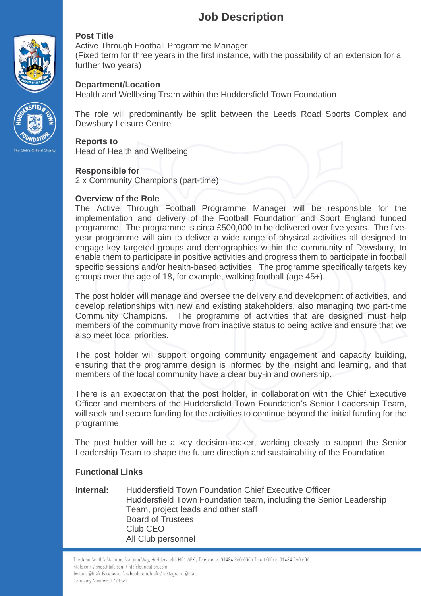## **Job Description**





Active Through Football Programme Manager

(Fixed term for three years in the first instance, with the possibility of an extension for a further two years)

## **Department/Location**

Health and Wellbeing Team within the Huddersfield Town Foundation

The role will predominantly be split between the Leeds Road Sports Complex and Dewsbury Leisure Centre

#### **Reports to**

Head of Health and Wellbeing

### **Responsible for**

2 x Community Champions (part-time)

### **Overview of the Role**

The Active Through Football Programme Manager will be responsible for the implementation and delivery of the Football Foundation and Sport England funded programme. The programme is circa £500,000 to be delivered over five years. The fiveyear programme will aim to deliver a wide range of physical activities all designed to engage key targeted groups and demographics within the community of Dewsbury, to enable them to participate in positive activities and progress them to participate in football specific sessions and/or health-based activities. The programme specifically targets key groups over the age of 18, for example, walking football (age 45+).

The post holder will manage and oversee the delivery and development of activities, and develop relationships with new and existing stakeholders, also managing two part-time Community Champions. The programme of activities that are designed must help members of the community move from inactive status to being active and ensure that we also meet local priorities.

The post holder will support ongoing community engagement and capacity building, ensuring that the programme design is informed by the insight and learning, and that members of the local community have a clear buy-in and ownership.

There is an expectation that the post holder, in collaboration with the Chief Executive Officer and members of the Huddersfield Town Foundation's Senior Leadership Team, will seek and secure funding for the activities to continue beyond the initial funding for the programme.

The post holder will be a key decision-maker, working closely to support the Senior Leadership Team to shape the future direction and sustainability of the Foundation.

### **Functional Links**

#### **Internal:** Huddersfield Town Foundation Chief Executive Officer Huddersfield Town Foundation team, including the Senior Leadership Team, project leads and other staff Board of Trustees Club CEO All Club personnel

The John Smith's Stadium, Stadium Way, Huddersfield, HD1 6PX / Telephone: 01484 960 600 / Ticket Office: 01484 960 606 htafc.com / shop.htafc.com / htafcfoundation.com Twitter: @htafc Facebook: facebook.com/htafc / Instagram: @htafc Company Number: 1771361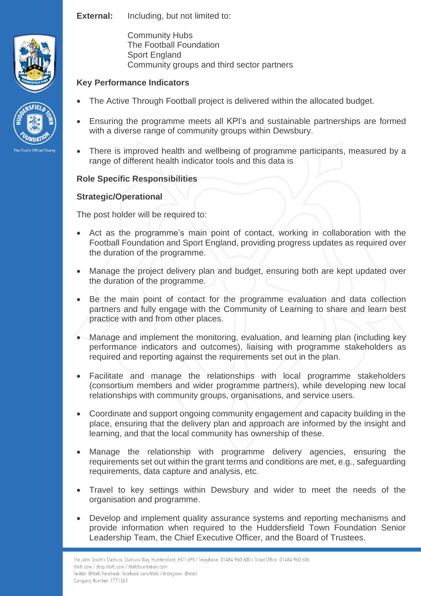**External:** Including, but not limited to:





Community Hubs The Football Foundation Sport England Community groups and third sector partners

## **Key Performance Indicators**

- The Active Through Football project is delivered within the allocated budget.
- Ensuring the programme meets all KPI's and sustainable partnerships are formed with a diverse range of community groups within Dewsbury.
- There is improved health and wellbeing of programme participants, measured by a range of different health indicator tools and this data is

## **Role Specific Responsibilities**

## **Strategic/Operational**

The post holder will be required to:

- Act as the programme's main point of contact, working in collaboration with the Football Foundation and Sport England, providing progress updates as required over the duration of the programme.
- Manage the project delivery plan and budget, ensuring both are kept updated over the duration of the programme.
- Be the main point of contact for the programme evaluation and data collection partners and fully engage with the Community of Learning to share and learn best practice with and from other places.
- Manage and implement the monitoring, evaluation, and learning plan (including key performance indicators and outcomes), liaising with programme stakeholders as required and reporting against the requirements set out in the plan.
- Facilitate and manage the relationships with local programme stakeholders (consortium members and wider programme partners), while developing new local relationships with community groups, organisations, and service users.
- Coordinate and support ongoing community engagement and capacity building in the place, ensuring that the delivery plan and approach are informed by the insight and learning, and that the local community has ownership of these.
- Manage the relationship with programme delivery agencies, ensuring the requirements set out within the grant terms and conditions are met, e.g., safeguarding requirements, data capture and analysis, etc.
- Travel to key settings within Dewsbury and wider to meet the needs of the organisation and programme.
- Develop and implement quality assurance systems and reporting mechanisms and provide information when required to the Huddersfield Town Foundation Senior Leadership Team, the Chief Executive Officer, and the Board of Trustees.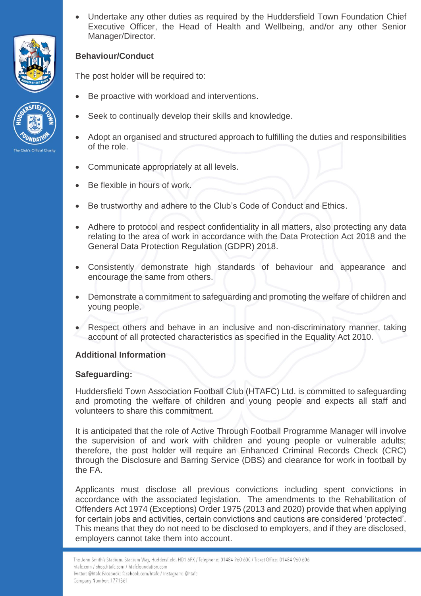



• Undertake any other duties as required by the Huddersfield Town Foundation Chief Executive Officer, the Head of Health and Wellbeing, and/or any other Senior Manager/Director.

## **Behaviour/Conduct**

The post holder will be required to:

- Be proactive with workload and interventions.
- Seek to continually develop their skills and knowledge.
- Adopt an organised and structured approach to fulfilling the duties and responsibilities of the role.
- Communicate appropriately at all levels.
- Be flexible in hours of work.
- Be trustworthy and adhere to the Club's Code of Conduct and Ethics.
- Adhere to protocol and respect confidentiality in all matters, also protecting any data relating to the area of work in accordance with the Data Protection Act 2018 and the General Data Protection Regulation (GDPR) 2018.
- Consistently demonstrate high standards of behaviour and appearance and encourage the same from others.
- Demonstrate a commitment to safeguarding and promoting the welfare of children and young people.
- Respect others and behave in an inclusive and non-discriminatory manner, taking account of all protected characteristics as specified in the Equality Act 2010.

### **Additional Information**

### **Safeguarding:**

Huddersfield Town Association Football Club (HTAFC) Ltd. is committed to safeguarding and promoting the welfare of children and young people and expects all staff and volunteers to share this commitment.

It is anticipated that the role of Active Through Football Programme Manager will involve the supervision of and work with children and young people or vulnerable adults; therefore, the post holder will require an Enhanced Criminal Records Check (CRC) through the Disclosure and Barring Service (DBS) and clearance for work in football by the FA.

Applicants must disclose all previous convictions including spent convictions in accordance with the associated legislation. The amendments to the Rehabilitation of Offenders Act 1974 (Exceptions) Order 1975 (2013 and 2020) provide that when applying for certain jobs and activities, certain convictions and cautions are considered 'protected'. This means that they do not need to be disclosed to employers, and if they are disclosed, employers cannot take them into account.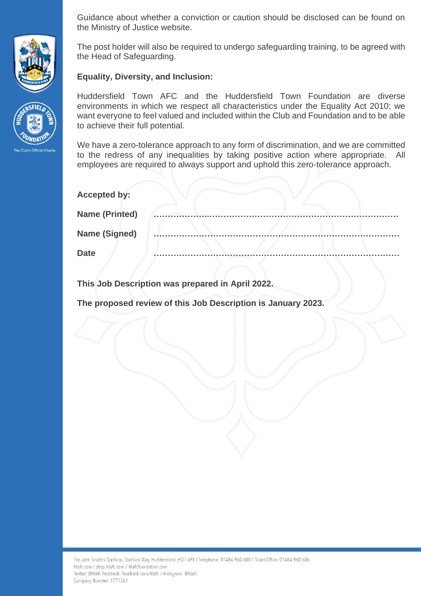Guidance about whether a conviction or caution should be disclosed can be found on the Ministry of Justice website.

The post holder will also be required to undergo safeguarding training, to be agreed with the Head of Safeguarding.

**Equality, Diversity, and Inclusion:**

Huddersfield Town AFC and the Huddersfield Town Foundation are diverse environments in which we respect all characteristics under the Equality Act 2010; we want everyone to feel valued and included within the Club and Foundation and to be able to achieve their full potential.

We have a zero-tolerance approach to any form of discrimination, and we are committed to the redress of any inequalities by taking positive action where appropriate. All employees are required to always support and uphold this zero-tolerance approach.

| <b>Accepted by:</b>   |  |
|-----------------------|--|
| <b>Name (Printed)</b> |  |
| <b>Name (Signed)</b>  |  |
| <b>Date</b>           |  |

**This Job Description was prepared in April 2022.**

**The proposed review of this Job Description is January 2023.**



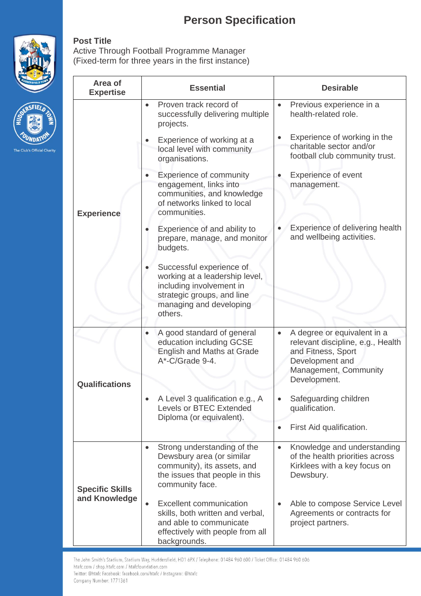# **Person Specification**



**VDA** The Club's Official Charity

## **Post Title**

Active Through Football Programme Manager (Fixed-term for three years in the first instance)

| Area of<br><b>Expertise</b>             | <b>Essential</b>                                                                                                                                               | <b>Desirable</b>                                                                                                                                |  |
|-----------------------------------------|----------------------------------------------------------------------------------------------------------------------------------------------------------------|-------------------------------------------------------------------------------------------------------------------------------------------------|--|
| <b>Experience</b>                       | Proven track record of<br>$\bullet$<br>successfully delivering multiple<br>projects.                                                                           | Previous experience in a<br>$\bullet$<br>health-related role.                                                                                   |  |
|                                         | Experience of working at a<br>local level with community<br>organisations.                                                                                     | Experience of working in the<br>$\bullet$<br>charitable sector and/or<br>football club community trust.                                         |  |
|                                         | Experience of community<br>engagement, links into<br>communities, and knowledge<br>of networks linked to local<br>communities.                                 | <b>Experience of event</b><br>management.                                                                                                       |  |
|                                         | Experience of and ability to<br>prepare, manage, and monitor<br>budgets.                                                                                       | Experience of delivering health<br>and wellbeing activities.                                                                                    |  |
|                                         | Successful experience of<br>working at a leadership level,<br>including involvement in<br>strategic groups, and line<br>managing and developing<br>others.     |                                                                                                                                                 |  |
| <b>Qualifications</b>                   | A good standard of general<br>education including GCSE<br>English and Maths at Grade<br>A*-C/Grade 9-4.                                                        | A degree or equivalent in a<br>$\bullet$<br>relevant discipline, e.g., Health<br>and Fitness, Sport<br>Development and<br>Management, Community |  |
|                                         |                                                                                                                                                                | Development.                                                                                                                                    |  |
|                                         | A Level 3 qualification e.g., A<br><b>Levels or BTEC Extended</b><br>Diploma (or equivalent).                                                                  | Safeguarding children<br>$\bullet$<br>qualification.                                                                                            |  |
|                                         |                                                                                                                                                                | First Aid qualification.<br>$\bullet$                                                                                                           |  |
| <b>Specific Skills</b><br>and Knowledge | Strong understanding of the<br>$\bullet$<br>Dewsbury area (or similar<br>community), its assets, and<br>the issues that people in this<br>community face.      | Knowledge and understanding<br>$\bullet$<br>of the health priorities across<br>Kirklees with a key focus on<br>Dewsbury.                        |  |
|                                         | <b>Excellent communication</b><br>$\bullet$<br>skills, both written and verbal,<br>and able to communicate<br>effectively with people from all<br>backgrounds. | Able to compose Service Level<br>Agreements or contracts for<br>project partners.                                                               |  |

The John Smith's Stadium, Stadium Way, Huddersfield, HD1 6PX / Telephone: 01484 960 600 / Ticket Office: 01484 960 606 htafc.com / shop.htafc.com / htafcfoundation.com Twitter: @htafc Facebook: facebook.com/htafc / Instagram: @htafc Company Number: 1771361